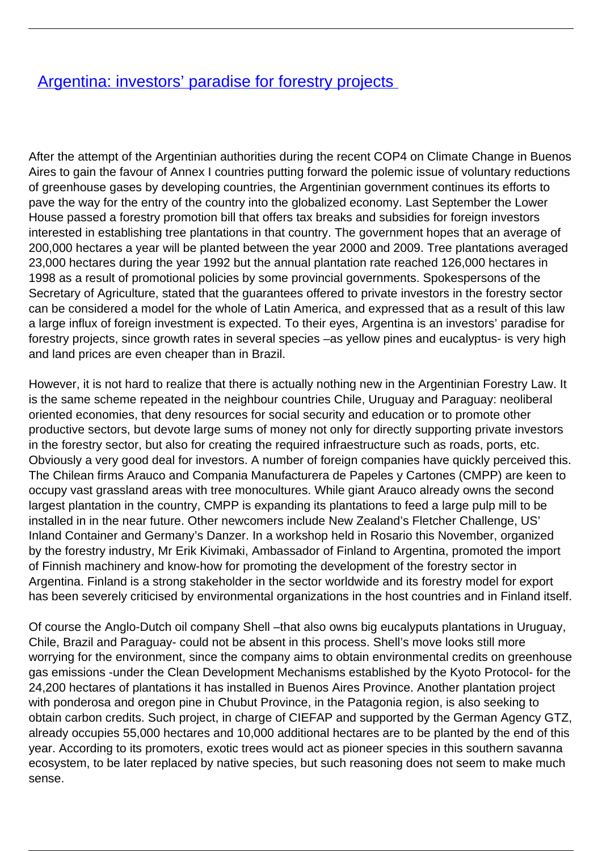## [Argentina: investors' paradise for forestry projects](/bulletin-articles/argentina-investors-paradise-for-forestry-projects)

After the attempt of the Argentinian authorities during the recent COP4 on Climate Change in Buenos Aires to gain the favour of Annex I countries putting forward the polemic issue of voluntary reductions of greenhouse gases by developing countries, the Argentinian government continues its efforts to pave the way for the entry of the country into the globalized economy. Last September the Lower House passed a forestry promotion bill that offers tax breaks and subsidies for foreign investors interested in establishing tree plantations in that country. The government hopes that an average of 200,000 hectares a year will be planted between the year 2000 and 2009. Tree plantations averaged 23,000 hectares during the year 1992 but the annual plantation rate reached 126,000 hectares in 1998 as a result of promotional policies by some provincial governments. Spokespersons of the Secretary of Agriculture, stated that the guarantees offered to private investors in the forestry sector can be considered a model for the whole of Latin America, and expressed that as a result of this law a large influx of foreign investment is expected. To their eyes, Argentina is an investors' paradise for forestry projects, since growth rates in several species –as yellow pines and eucalyptus- is very high and land prices are even cheaper than in Brazil.

However, it is not hard to realize that there is actually nothing new in the Argentinian Forestry Law. It is the same scheme repeated in the neighbour countries Chile, Uruguay and Paraguay: neoliberal oriented economies, that deny resources for social security and education or to promote other productive sectors, but devote large sums of money not only for directly supporting private investors in the forestry sector, but also for creating the required infraestructure such as roads, ports, etc. Obviously a very good deal for investors. A number of foreign companies have quickly perceived this. The Chilean firms Arauco and Compania Manufacturera de Papeles y Cartones (CMPP) are keen to occupy vast grassland areas with tree monocultures. While giant Arauco already owns the second largest plantation in the country, CMPP is expanding its plantations to feed a large pulp mill to be installed in in the near future. Other newcomers include New Zealand's Fletcher Challenge, US' Inland Container and Germany's Danzer. In a workshop held in Rosario this November, organized by the forestry industry, Mr Erik Kivimaki, Ambassador of Finland to Argentina, promoted the import of Finnish machinery and know-how for promoting the development of the forestry sector in Argentina. Finland is a strong stakeholder in the sector worldwide and its forestry model for export has been severely criticised by environmental organizations in the host countries and in Finland itself.

Of course the Anglo-Dutch oil company Shell –that also owns big eucalyputs plantations in Uruguay, Chile, Brazil and Paraguay- could not be absent in this process. Shell's move looks still more worrying for the environment, since the company aims to obtain environmental credits on greenhouse gas emissions -under the Clean Development Mechanisms established by the Kyoto Protocol- for the 24,200 hectares of plantations it has installed in Buenos Aires Province. Another plantation project with ponderosa and oregon pine in Chubut Province, in the Patagonia region, is also seeking to obtain carbon credits. Such project, in charge of CIEFAP and supported by the German Agency GTZ, already occupies 55,000 hectares and 10,000 additional hectares are to be planted by the end of this year. According to its promoters, exotic trees would act as pioneer species in this southern savanna ecosystem, to be later replaced by native species, but such reasoning does not seem to make much sense.